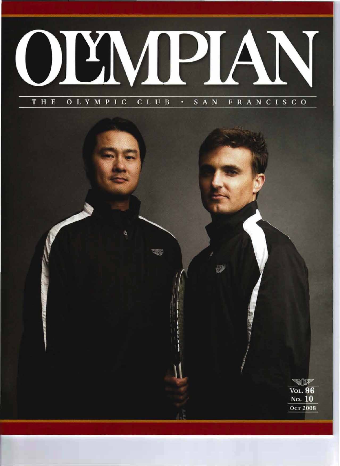

é Vol. 96 No. 10 **OCT 2008**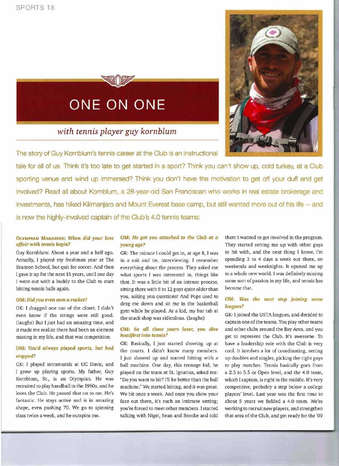## **ONE ON ONE**

### *with tennis player guy kornblum*

The story of Guy Komblum's tennis career at the Club is an instructional

tale for all of us. Think it's too late to get started in a sport? Think you can't show up, cold turkey, at a Club sporting venue and wind up immersed? Think you don't have the motivation to get off your duff and get involved? Read all about Kornblum, a 28-year-old San Franciscan who works in real estate brokerage and investments, has hiked Kilimanjaro and Mount Everest base camp, but still wanted more out of his life -- and is now the highly-involved captain of the Club's 4.0 tennis teams:

#### OLYMPIAN MAGAZINE: *When did* your *love affair wIth te.nnis begin?*

Guy Kornblum: About a year and a half ago. Actually, I played my freshman year at The Branson School, but quit for soccer. And then I gave it up for the next 15 years, until one day I went out with a buddy to the Club to start hitting tennis balls again.

#### OM: *Did you even own* a *racket?*

GK: I dragged one out of the closet. I didn't even know if the strings were still good. (laughs) But I just had an amazing time, and it made me realize there had been an element missing in my life, and that was competition.

#### OM: You'd always played sports, but had *stopped?*

GK: I played intramurals at UC Davis, and I grew up playing sports. My father, Guy Kornblum, Sr., is an Olympian. He was recruited to play handball in the *1960s,* and he loves the Club. He passed that on to me. He's fantastic. He stays active and is in amazing shape, even pushing 70. We go to spinning class twice a week, and he outspins me.

#### OM: He *got you attached* to *the Club at a* young *age?*

GK: The minute I could get in, at age 8, I was in a suit and tie, interviewing. I remember everything about the process. They asked me what sports I was interested in, things like that. It was a little bit of an intense process, sitting there with 8 to 12 guys quite older than you, asking you questions! And Pops used to drag me down and sit me in the basketball gym while he played. As a kid, my bar tab at the snack shop was ridiculous. (laughs)

#### OM: So *aU these years later,* you *dive headfirst into tennis?*

GK: Basically, I just started showing up at the courts. I didn't know many members. I just showed up and started hitting with a ball machine. One day, this teenage kid, he played on the team at St. Ignatius, asked me: "Do you want to hit? I'll be better than the ball machine." We started hitting, and it was great. We hit once a week. And once you show your face out there, it's such an intimate setting; you're forced to meet other members. Istarted talking with Nigel, Sean and Brooke and told

them I wanted to get involved in the program. They started setting me up with other guys to hit with, and the next thing I know, I'm spending 3 to 4 days a week out there, on weekends and weeknights. It opened me up to a whole new world. I was definitely missing some sort of passion in my life, and tennis has become that.

#### OM: Was the next step joining some *leagues?*

GK: I joined the USTA leagues, and decided to captain one of the teams. You play other teams and other clubs around the Bay Area, and you get to represent the Club. It's awesome. To have a leadership role with the Club is very cool. It involves a lot of coordinating, setting up doubles and singles, picking the right guys to play matches. Tennis basically goes from a 2.5 to 5.5 or Open level, and the 4.0 team, which I captain, is right in the middle. It's very competitive, probably a step below a college players' level. Last year was the first time in about 5 years we fielded a 4.0 team. We're working to recruit new players, and strengthen that area of the Club, and get ready for the '09